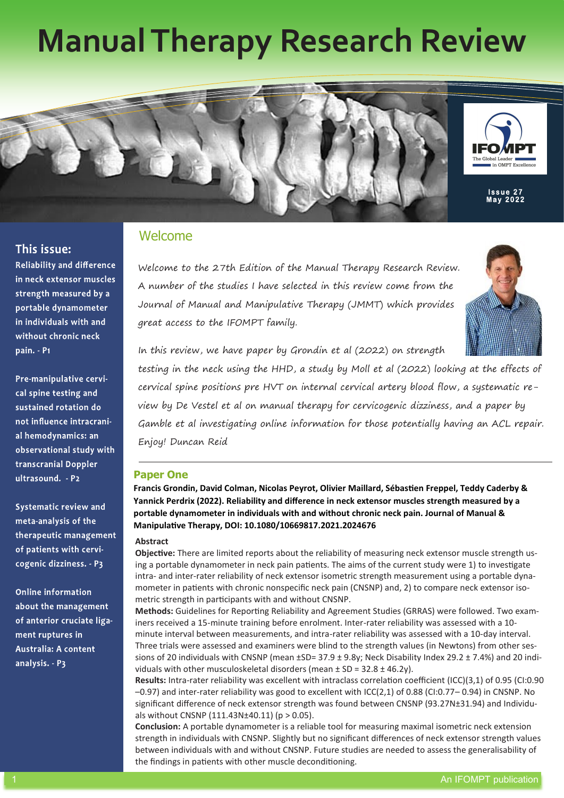# **Manual Therapy Research Review**





**Reliability and difference** in neck extensor muscles strength measured by a portable dynamometer in individuals with and without chronic neck pain. - P1

Pre-manipulative cervical spine testing and sustained rotation do not influence intracranial hemodynamics: an observational study with transcranial Doppler ultrasound. - P2

Systematic review and meta-analysis of the therapeutic management of patients with cervicogenic dizziness. - P3

**Online information** about the management of anterior cruciate ligament ruptures in **Australia: A content** analysis. - P3

# Welcome

Welcome to the 27th Edition of the Manual Therapy Research Review. A number of the studies I have selected in this review come from the Journal of Manual and Manipulative Therapy (JMMT) which provides great access to the IFOMPT family.



In this review, we have paper by Grondin et al (2022) on strength testing in the neck using the HHD, a study by Moll et al (2022) looking at the effects of

cervical spine positions pre HVT on internal cervical artery blood flow, a systematic review by De Vestel et al on manual therapy for cervicogenic dizziness, and a paper by Gamble et al investigating online information for those potentially having an ACL repair. Enjoy! Duncan Reid

# **Paper One**

**Francis Grondin, David Colman, Nicolas Peyrot, Olivier Maillard, Sébastien Freppel, Teddy Caderby & Yannick Perdrix (2022). Reliability and difference in neck extensor muscles strength measured by a portable dynamometer in individuals with and without chronic neck pain. Journal of Manual & Manipulative Therapy, DOI: 10.1080/10669817.2021.2024676** 

# **Abstract**

**Objective:** There are limited reports about the reliability of measuring neck extensor muscle strength using a portable dynamometer in neck pain patients. The aims of the current study were 1) to investigate intra- and inter-rater reliability of neck extensor isometric strength measurement using a portable dynamometer in patients with chronic nonspecific neck pain (CNSNP) and, 2) to compare neck extensor isometric strength in participants with and without CNSNP.

**Methods:** Guidelines for Reporting Reliability and Agreement Studies (GRRAS) were followed. Two examiners received a 15-minute training before enrolment. Inter-rater reliability was assessed with a 10 minute interval between measurements, and intra-rater reliability was assessed with a 10-day interval. Three trials were assessed and examiners were blind to the strength values (in Newtons) from other sessions of 20 individuals with CNSNP (mean  $\pm$ SD= 37.9  $\pm$  9.8y; Neck Disability Index 29.2  $\pm$  7.4%) and 20 individuals with other musculoskeletal disorders (mean  $\pm$  SD = 32.8  $\pm$  46.2y).

**Results:** Intra-rater reliability was excellent with intraclass correlation coefficient (ICC)(3,1) of 0.95 (CI:0.90 –0.97) and inter-rater reliability was good to excellent with ICC(2,1) of 0.88 (CI:0.77– 0.94) in CNSNP. No significant difference of neck extensor strength was found between CNSNP (93.27N±31.94) and Individuals without CNSNP  $(111.43N±40.11)$  (p > 0.05).

**Conclusion:** A portable dynamometer is a reliable tool for measuring maximal isometric neck extension strength in individuals with CNSNP. Slightly but no significant differences of neck extensor strength values between individuals with and without CNSNP. Future studies are needed to assess the generalisability of the findings in patients with other muscle deconditioning.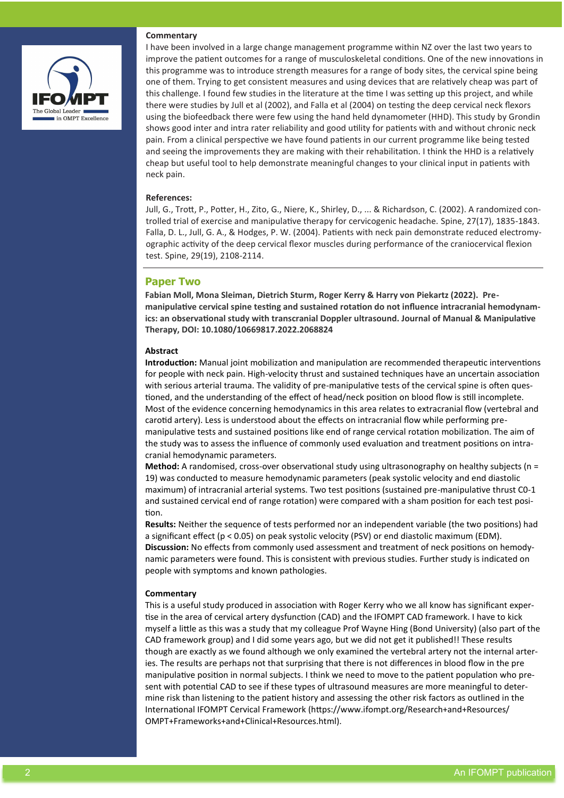

# **Commentary**

I have been involved in a large change management programme within NZ over the last two years to improve the patient outcomes for a range of musculoskeletal conditions. One of the new innovations in this programme was to introduce strength measures for a range of body sites, the cervical spine being one of them. Trying to get consistent measures and using devices that are relatively cheap was part of this challenge. I found few studies in the literature at the time I was setting up this project, and while there were studies by Jull et al (2002), and Falla et al (2004) on testing the deep cervical neck flexors using the biofeedback there were few using the hand held dynamometer (HHD). This study by Grondin shows good inter and intra rater reliability and good utility for patients with and without chronic neck pain. From a clinical perspective we have found patients in our current programme like being tested and seeing the improvements they are making with their rehabilitation. I think the HHD is a relatively cheap but useful tool to help demonstrate meaningful changes to your clinical input in patients with neck pain.

#### **References:**

Jull, G., Trott, P., Potter, H., Zito, G., Niere, K., Shirley, D., ... & Richardson, C. (2002). A randomized controlled trial of exercise and manipulative therapy for cervicogenic headache. Spine, 27(17), 1835-1843. Falla, D. L., Jull, G. A., & Hodges, P. W. (2004). Patients with neck pain demonstrate reduced electromyographic activity of the deep cervical flexor muscles during performance of the craniocervical flexion test. Spine, 29(19), 2108-2114.

# **Paper Two**

**Fabian Moll, Mona Sleiman, Dietrich Sturm, Roger Kerry & Harry von Piekartz (2022). Premanipulative cervical spine testing and sustained rotation do not influence intracranial hemodynamics: an observational study with transcranial Doppler ultrasound. Journal of Manual & Manipulative Therapy, DOI: 10.1080/10669817.2022.2068824**

# **Abstract**

**Introduction:** Manual joint mobilization and manipulation are recommended therapeutic interventions for people with neck pain. High-velocity thrust and sustained techniques have an uncertain association with serious arterial trauma. The validity of pre-manipulative tests of the cervical spine is often questioned, and the understanding of the effect of head/neck position on blood flow is still incomplete. Most of the evidence concerning hemodynamics in this area relates to extracranial flow (vertebral and carotid artery). Less is understood about the effects on intracranial flow while performing premanipulative tests and sustained positions like end of range cervical rotation mobilization. The aim of the study was to assess the influence of commonly used evaluation and treatment positions on intracranial hemodynamic parameters.

**Method:** A randomised, cross-over observational study using ultrasonography on healthy subjects (n = 19) was conducted to measure hemodynamic parameters (peak systolic velocity and end diastolic maximum) of intracranial arterial systems. Two test positions (sustained pre-manipulative thrust C0-1 and sustained cervical end of range rotation) were compared with a sham position for each test position.

**Results:** Neither the sequence of tests performed nor an independent variable (the two positions) had a significant effect (p < 0.05) on peak systolic velocity (PSV) or end diastolic maximum (EDM). **Discussion:** No effects from commonly used assessment and treatment of neck positions on hemodynamic parameters were found. This is consistent with previous studies. Further study is indicated on people with symptoms and known pathologies.

### **Commentary**

This is a useful study produced in association with Roger Kerry who we all know has significant expertise in the area of cervical artery dysfunction (CAD) and the IFOMPT CAD framework. I have to kick myself a little as this was a study that my colleague Prof Wayne Hing (Bond University) (also part of the CAD framework group) and I did some years ago, but we did not get it published!! These results though are exactly as we found although we only examined the vertebral artery not the internal arteries. The results are perhaps not that surprising that there is not differences in blood flow in the pre manipulative position in normal subjects. I think we need to move to the patient population who present with potential CAD to see if these types of ultrasound measures are more meaningful to determine risk than listening to the patient history and assessing the other risk factors as outlined in the International IFOMPT Cervical Framework (https://www.ifompt.org/Research+and+Resources/ OMPT+Frameworks+and+Clinical+Resources.html).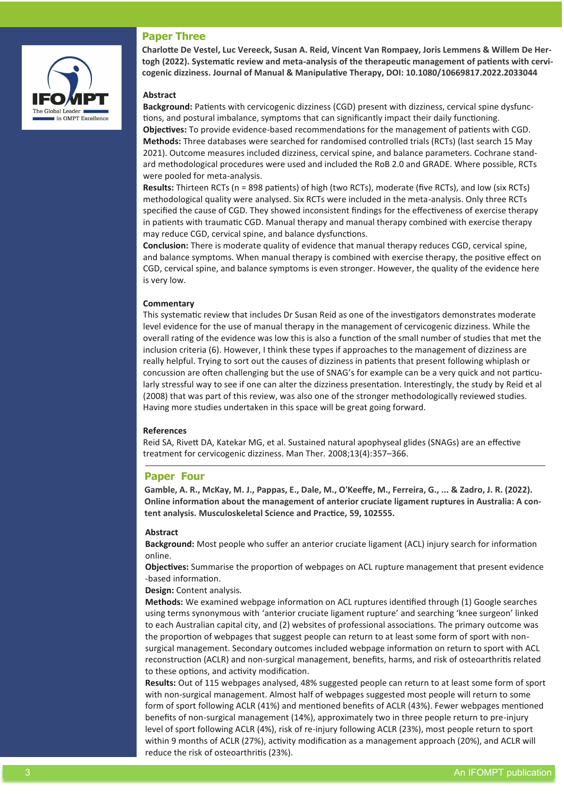# **Paper Three**



**Charlotte De Vestel, Luc Vereeck, Susan A. Reid, Vincent Van Rompaey, Joris Lemmens & Willem De Hertogh (2022). Systematic review and meta-analysis of the therapeutic management of patients with cervicogenic dizziness. Journal of Manual & Manipulative Therapy, DOI: 10.1080/10669817.2022.2033044**

# **Abstract**

**Background:** Patients with cervicogenic dizziness (CGD) present with dizziness, cervical spine dysfunctions, and postural imbalance, symptoms that can significantly impact their daily functioning. **Objectives:** To provide evidence-based recommendations for the management of patients with CGD. **Methods:** Three databases were searched for randomised controlled trials (RCTs) (last search 15 May 2021). Outcome measures included dizziness, cervical spine, and balance parameters. Cochrane standard methodological procedures were used and included the RoB 2.0 and GRADE. Where possible, RCTs were pooled for meta-analysis.

**Results:** Thirteen RCTs (n = 898 patients) of high (two RCTs), moderate (five RCTs), and low (six RCTs) methodological quality were analysed. Six RCTs were included in the meta-analysis. Only three RCTs specified the cause of CGD. They showed inconsistent findings for the effectiveness of exercise therapy in patients with traumatic CGD. Manual therapy and manual therapy combined with exercise therapy may reduce CGD, cervical spine, and balance dysfunctions.

**Conclusion:** There is moderate quality of evidence that manual therapy reduces CGD, cervical spine, and balance symptoms. When manual therapy is combined with exercise therapy, the positive effect on CGD, cervical spine, and balance symptoms is even stronger. However, the quality of the evidence here is very low.

### **Commentary**

This systematic review that includes Dr Susan Reid as one of the investigators demonstrates moderate level evidence for the use of manual therapy in the management of cervicogenic dizziness. While the overall rating of the evidence was low this is also a function of the small number of studies that met the inclusion criteria (6). However, I think these types if approaches to the management of dizziness are really helpful. Trying to sort out the causes of dizziness in patients that present following whiplash or concussion are often challenging but the use of SNAG's for example can be a very quick and not particularly stressful way to see if one can alter the dizziness presentation. Interestingly, the study by Reid et al (2008) that was part of this review, was also one of the stronger methodologically reviewed studies. Having more studies undertaken in this space will be great going forward.

## **References**

Reid SA, Rivett DA, Katekar MG, et al. Sustained natural apophyseal glides (SNAGs) are an effective treatment for cervicogenic dizziness. Man Ther. 2008;13(4):357–366.

# **Paper Four**

**Gamble, A. R., McKay, M. J., Pappas, E., Dale, M., O'Keeffe, M., Ferreira, G., ... & Zadro, J. R. (2022). Online information about the management of anterior cruciate ligament ruptures in Australia: A content analysis. Musculoskeletal Science and Practice, 59, 102555.**

### **Abstract**

**Background:** Most people who suffer an anterior cruciate ligament (ACL) injury search for information online.

**Objectives:** Summarise the proportion of webpages on ACL rupture management that present evidence -based information.

**Design:** Content analysis.

**Methods:** We examined webpage information on ACL ruptures identified through (1) Google searches using terms synonymous with 'anterior cruciate ligament rupture' and searching 'knee surgeon' linked to each Australian capital city, and (2) websites of professional associations. The primary outcome was the proportion of webpages that suggest people can return to at least some form of sport with nonsurgical management. Secondary outcomes included webpage information on return to sport with ACL reconstruction (ACLR) and non-surgical management, benefits, harms, and risk of osteoarthritis related to these options, and activity modification.

**3 An IFOMPT publication is a Reduce the risk of osteoarthritis (23%).** The risk of osteoarthritis (23%). **Results:** Out of 115 webpages analysed, 48% suggested people can return to at least some form of sport with non-surgical management. Almost half of webpages suggested most people will return to some form of sport following ACLR (41%) and mentioned benefits of ACLR (43%). Fewer webpages mentioned benefits of non-surgical management (14%), approximately two in three people return to pre-injury level of sport following ACLR (4%), risk of re-injury following ACLR (23%), most people return to sport within 9 months of ACLR (27%), activity modification as a management approach (20%), and ACLR will